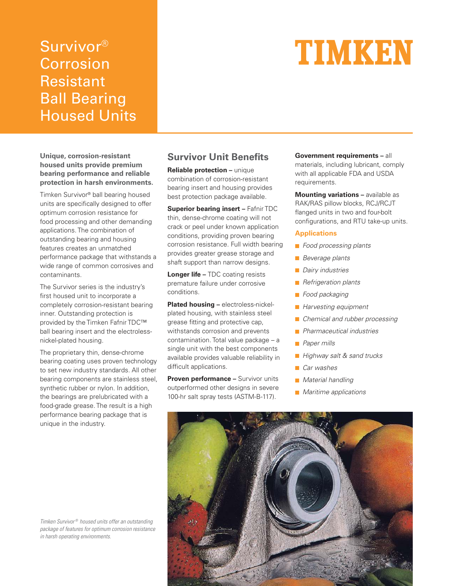## Survivor® Corrosion Resistant Ball Bearing Housed Units

# TIMKEN

**Unique, corrosion-resistant housed units provide premium bearing performance and reliable protection in harsh environments.**

Timken Survivor® ball bearing housed units are specifically designed to offer optimum corrosion resistance for food processing and other demanding applications. The combination of outstanding bearing and housing features creates an unmatched performance package that withstands a wide range of common corrosives and contaminants.

The Survivor series is the industry's first housed unit to incorporate a completely corrosion-resistant bearing inner. Outstanding protection is provided by the Timken Fafnir TDC™ ball bearing insert and the electrolessnickel-plated housing.

The proprietary thin, dense-chrome bearing coating uses proven technology to set new industry standards. All other bearing components are stainless steel, synthetic rubber or nylon. In addition, the bearings are prelubricated with a food-grade grease. The result is a high performance bearing package that is unique in the industry.

### **Survivor Unit Benefits**

**Reliable protection –** unique combination of corrosion-resistant bearing insert and housing provides best protection package available.

**Superior bearing insert – Fafnir TDC** thin, dense-chrome coating will not crack or peel under known application conditions, providing proven bearing corrosion resistance. Full width bearing provides greater grease storage and shaft support than narrow designs.

**Longer life – TDC coating resists** premature failure under corrosive conditions.

**Plated housing –** electroless-nickelplated housing, with stainless steel grease fitting and protective cap, withstands corrosion and prevents contamination. Total value package – a single unit with the best components available provides valuable reliability in difficult applications.

**Proven performance –** Survivor units outperformed other designs in severe 100-hr salt spray tests (ASTM-B-117).

**Government requirements –** all materials, including lubricant, comply with all applicable FDA and USDA requirements.

**Mounting variations –** available as RAK/RAS pillow blocks, RCJ/RCJT flanged units in two and four-bolt configurations, and RTU take-up units.

#### **Applications**

- Food processing plants
- **Beverage plants**
- **Dairy industries**
- **Refrigeration plants**
- **Food packaging**
- **Harvesting equipment**
- Chemical and rubber processing
- **Pharmaceutical industries**
- **Paper mills**
- **Highway salt & sand trucks**
- Car washes
- **Material handling**
- **Maritime applications**



Timken Survivor® housed units offer an outstanding package of features for optimum corrosion resistance in harsh operating environments.